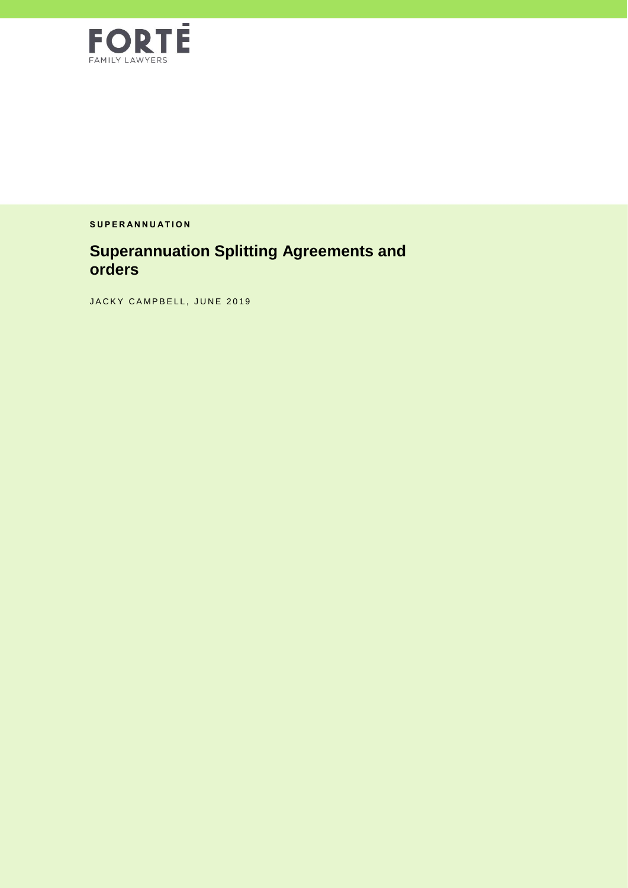

**S U P E R A N N U A T I O N**

## **Superannuation Splitting Agreements and orders**

JACKY CAMPBELL, JUNE 2019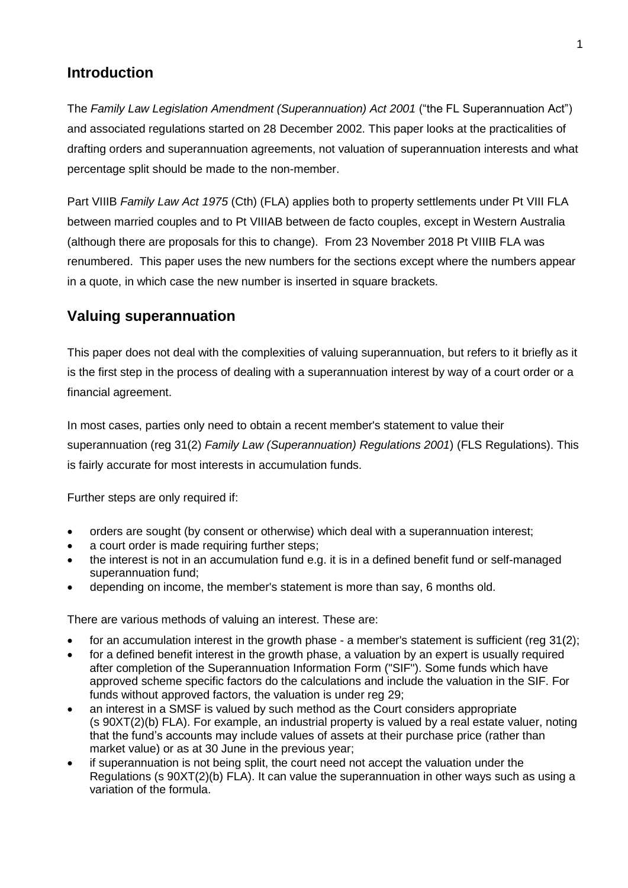### **Introduction**

The *Family Law Legislation Amendment (Superannuation) Act 2001* ("the FL Superannuation Act") and associated regulations started on 28 December 2002. This paper looks at the practicalities of drafting orders and superannuation agreements, not valuation of superannuation interests and what percentage split should be made to the non-member.

Part VIIIB *Family Law Act 1975* (Cth) (FLA) applies both to property settlements under Pt VIII FLA between married couples and to Pt VIIIAB between de facto couples, except in Western Australia (although there are proposals for this to change). From 23 November 2018 Pt VIIIB FLA was renumbered. This paper uses the new numbers for the sections except where the numbers appear in a quote, in which case the new number is inserted in square brackets.

## **Valuing superannuation**

This paper does not deal with the complexities of valuing superannuation, but refers to it briefly as it is the first step in the process of dealing with a superannuation interest by way of a court order or a financial agreement.

In most cases, parties only need to obtain a recent member's statement to value their superannuation (reg 31(2) *Family Law (Superannuation) Regulations 2001*) (FLS Regulations). This is fairly accurate for most interests in accumulation funds.

Further steps are only required if:

- orders are sought (by consent or otherwise) which deal with a superannuation interest;
- a court order is made requiring further steps;
- the interest is not in an accumulation fund e.g. it is in a defined benefit fund or self-managed superannuation fund;
- depending on income, the member's statement is more than say, 6 months old.

There are various methods of valuing an interest. These are:

- for an accumulation interest in the growth phase a member's statement is sufficient (reg 31(2);
- for a defined benefit interest in the growth phase, a valuation by an expert is usually required after completion of the Superannuation Information Form ("SIF"). Some funds which have approved scheme specific factors do the calculations and include the valuation in the SIF. For funds without approved factors, the valuation is under reg 29;
- an interest in a SMSF is valued by such method as the Court considers appropriate (s 90XT(2)(b) FLA). For example, an industrial property is valued by a real estate valuer, noting that the fund's accounts may include values of assets at their purchase price (rather than market value) or as at 30 June in the previous year;
- if superannuation is not being split, the court need not accept the valuation under the Regulations (s 90XT(2)(b) FLA). It can value the superannuation in other ways such as using a variation of the formula.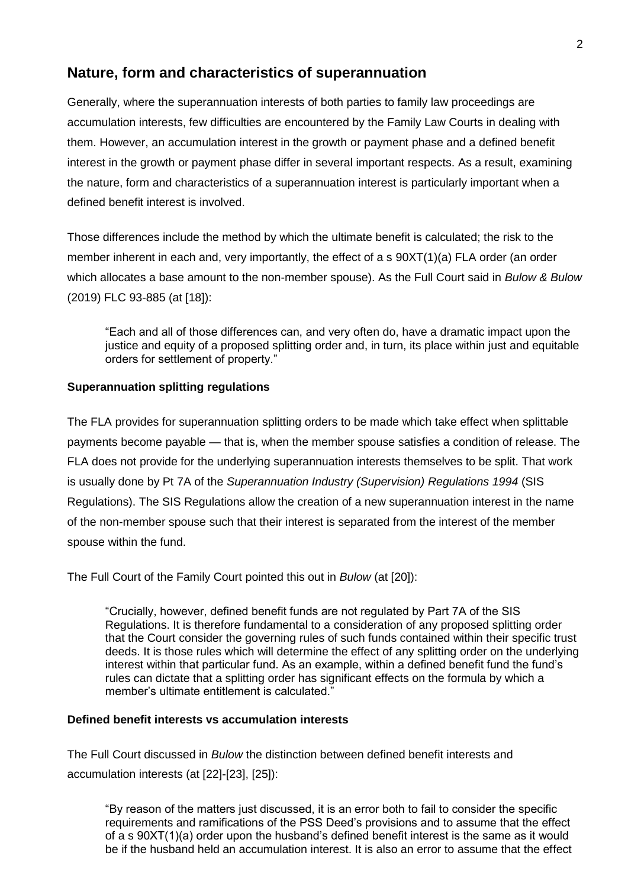## **Nature, form and characteristics of superannuation**

Generally, where the superannuation interests of both parties to family law proceedings are accumulation interests, few difficulties are encountered by the Family Law Courts in dealing with them. However, an accumulation interest in the growth or payment phase and a defined benefit interest in the growth or payment phase differ in several important respects. As a result, examining the nature, form and characteristics of a superannuation interest is particularly important when a defined benefit interest is involved.

Those differences include the method by which the ultimate benefit is calculated; the risk to the member inherent in each and, very importantly, the effect of a s 90XT(1)(a) FLA order (an order which allocates a base amount to the non-member spouse). As the Full Court said in *Bulow & Bulow*  (2019) FLC 93-885 (at [18]):

"Each and all of those differences can, and very often do, have a dramatic impact upon the justice and equity of a proposed splitting order and, in turn, its place within just and equitable orders for settlement of property."

#### **Superannuation splitting regulations**

The FLA provides for superannuation splitting orders to be made which take effect when splittable payments become payable — that is, when the member spouse satisfies a condition of release. The FLA does not provide for the underlying superannuation interests themselves to be split. That work is usually done by Pt 7A of the *Superannuation Industry (Supervision) Regulations 1994* (SIS Regulations). The SIS Regulations allow the creation of a new superannuation interest in the name of the non-member spouse such that their interest is separated from the interest of the member spouse within the fund.

The Full Court of the Family Court pointed this out in *Bulow* (at [20]):

"Crucially, however, defined benefit funds are not regulated by Part 7A of the SIS Regulations. It is therefore fundamental to a consideration of any proposed splitting order that the Court consider the governing rules of such funds contained within their specific trust deeds. It is those rules which will determine the effect of any splitting order on the underlying interest within that particular fund. As an example, within a defined benefit fund the fund's rules can dictate that a splitting order has significant effects on the formula by which a member's ultimate entitlement is calculated."

#### **Defined benefit interests vs accumulation interests**

The Full Court discussed in *Bulow* the distinction between defined benefit interests and accumulation interests (at [22]-[23], [25]):

"By reason of the matters just discussed, it is an error both to fail to consider the specific requirements and ramifications of the PSS Deed's provisions and to assume that the effect of a s 90XT(1)(a) order upon the husband's defined benefit interest is the same as it would be if the husband held an accumulation interest. It is also an error to assume that the effect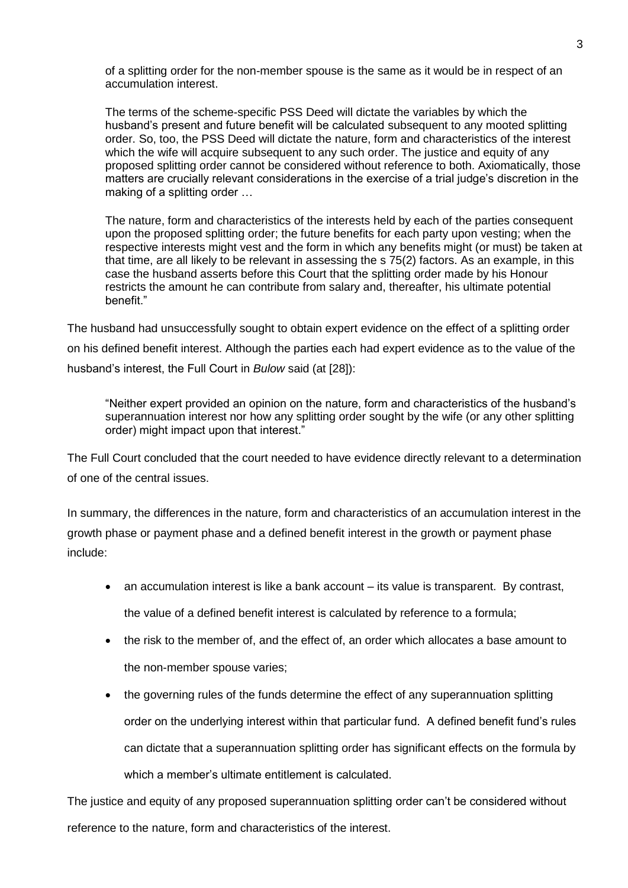of a splitting order for the non-member spouse is the same as it would be in respect of an accumulation interest.

The terms of the scheme-specific PSS Deed will dictate the variables by which the husband's present and future benefit will be calculated subsequent to any mooted splitting order. So, too, the PSS Deed will dictate the nature, form and characteristics of the interest which the wife will acquire subsequent to any such order. The justice and equity of any proposed splitting order cannot be considered without reference to both. Axiomatically, those matters are crucially relevant considerations in the exercise of a trial judge's discretion in the making of a splitting order …

The nature, form and characteristics of the interests held by each of the parties consequent upon the proposed splitting order; the future benefits for each party upon vesting; when the respective interests might vest and the form in which any benefits might (or must) be taken at that time, are all likely to be relevant in assessing the s 75(2) factors. As an example, in this case the husband asserts before this Court that the splitting order made by his Honour restricts the amount he can contribute from salary and, thereafter, his ultimate potential benefit."

The husband had unsuccessfully sought to obtain expert evidence on the effect of a splitting order on his defined benefit interest. Although the parties each had expert evidence as to the value of the husband's interest, the Full Court in *Bulow* said (at [28]):

"Neither expert provided an opinion on the nature, form and characteristics of the husband's superannuation interest nor how any splitting order sought by the wife (or any other splitting order) might impact upon that interest."

The Full Court concluded that the court needed to have evidence directly relevant to a determination of one of the central issues.

In summary, the differences in the nature, form and characteristics of an accumulation interest in the growth phase or payment phase and a defined benefit interest in the growth or payment phase include:

- an accumulation interest is like a bank account its value is transparent. By contrast, the value of a defined benefit interest is calculated by reference to a formula;
- the risk to the member of, and the effect of, an order which allocates a base amount to the non-member spouse varies;
- the governing rules of the funds determine the effect of any superannuation splitting order on the underlying interest within that particular fund. A defined benefit fund's rules can dictate that a superannuation splitting order has significant effects on the formula by which a member's ultimate entitlement is calculated.

The justice and equity of any proposed superannuation splitting order can't be considered without reference to the nature, form and characteristics of the interest.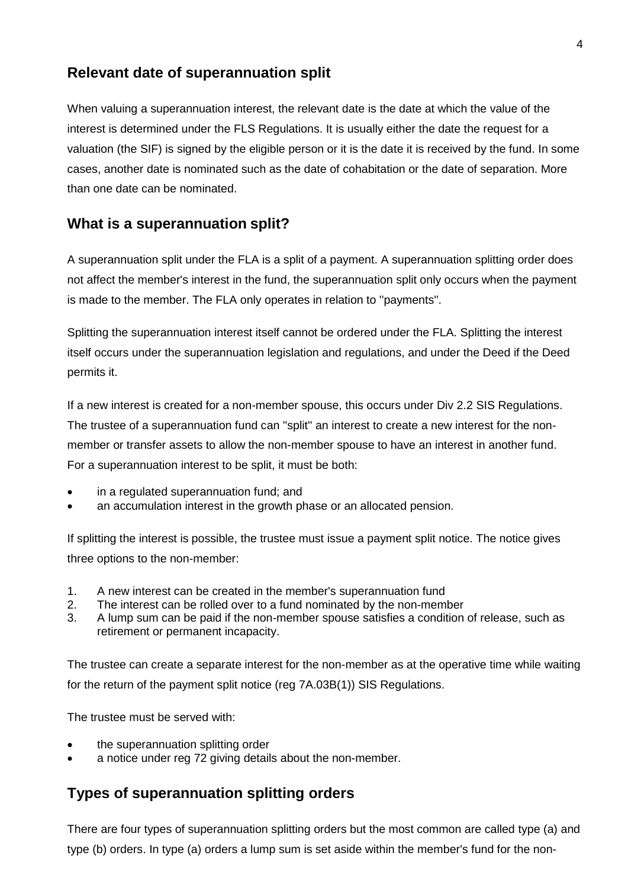### **Relevant date of superannuation split**

When valuing a superannuation interest, the relevant date is the date at which the value of the interest is determined under the FLS Regulations. It is usually either the date the request for a valuation (the SIF) is signed by the eligible person or it is the date it is received by the fund. In some cases, another date is nominated such as the date of cohabitation or the date of separation. More than one date can be nominated.

### **What is a superannuation split?**

A superannuation split under the FLA is a split of a payment. A superannuation splitting order does not affect the member's interest in the fund, the superannuation split only occurs when the payment is made to the member. The FLA only operates in relation to ''payments''.

Splitting the superannuation interest itself cannot be ordered under the FLA. Splitting the interest itself occurs under the superannuation legislation and regulations, and under the Deed if the Deed permits it.

If a new interest is created for a non-member spouse, this occurs under Div 2.2 SIS Regulations. The trustee of a superannuation fund can ''split'' an interest to create a new interest for the nonmember or transfer assets to allow the non-member spouse to have an interest in another fund. For a superannuation interest to be split, it must be both:

- in a regulated superannuation fund; and
- an accumulation interest in the growth phase or an allocated pension.

If splitting the interest is possible, the trustee must issue a payment split notice. The notice gives three options to the non-member:

- 1. A new interest can be created in the member's superannuation fund
- 2. The interest can be rolled over to a fund nominated by the non-member
- 3. A lump sum can be paid if the non-member spouse satisfies a condition of release, such as retirement or permanent incapacity.

The trustee can create a separate interest for the non-member as at the operative time while waiting for the return of the payment split notice (reg 7A.03B(1)) SIS Regulations.

The trustee must be served with:

- the superannuation splitting order
- a notice under reg 72 giving details about the non-member.

## **Types of superannuation splitting orders**

There are four types of superannuation splitting orders but the most common are called type (a) and type (b) orders. In type (a) orders a lump sum is set aside within the member's fund for the non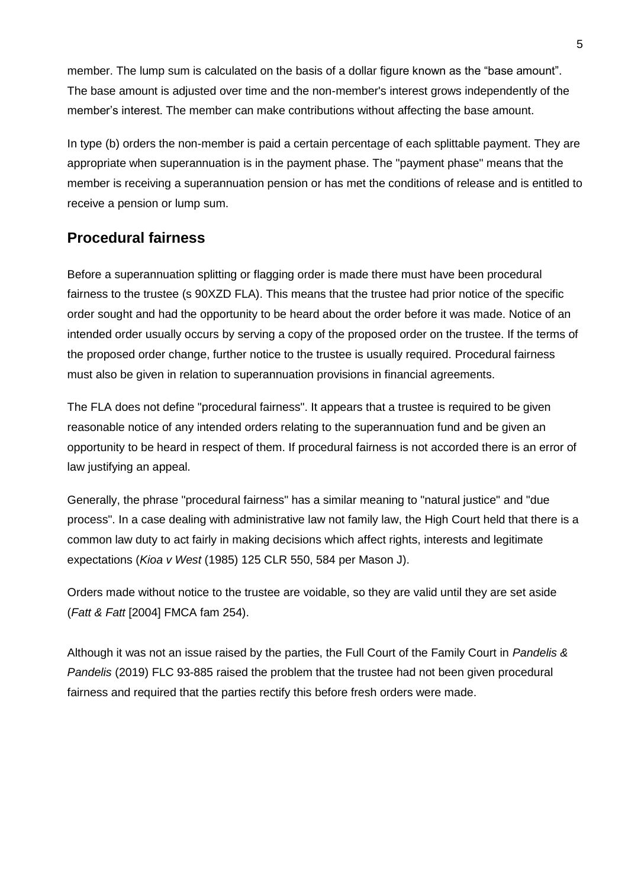member. The lump sum is calculated on the basis of a dollar figure known as the "base amount". The base amount is adjusted over time and the non-member's interest grows independently of the member's interest. The member can make contributions without affecting the base amount.

In type (b) orders the non-member is paid a certain percentage of each splittable payment. They are appropriate when superannuation is in the payment phase. The "payment phase" means that the member is receiving a superannuation pension or has met the conditions of release and is entitled to receive a pension or lump sum.

## **Procedural fairness**

Before a superannuation splitting or flagging order is made there must have been procedural fairness to the trustee (s 90XZD FLA). This means that the trustee had prior notice of the specific order sought and had the opportunity to be heard about the order before it was made. Notice of an intended order usually occurs by serving a copy of the proposed order on the trustee. If the terms of the proposed order change, further notice to the trustee is usually required. Procedural fairness must also be given in relation to superannuation provisions in financial agreements.

The FLA does not define "procedural fairness". It appears that a trustee is required to be given reasonable notice of any intended orders relating to the superannuation fund and be given an opportunity to be heard in respect of them. If procedural fairness is not accorded there is an error of law justifying an appeal.

Generally, the phrase "procedural fairness" has a similar meaning to "natural justice" and "due process". In a case dealing with administrative law not family law, the High Court held that there is a common law duty to act fairly in making decisions which affect rights, interests and legitimate expectations (*Kioa v West* (1985) 125 CLR 550, 584 per Mason J).

Orders made without notice to the trustee are voidable, so they are valid until they are set aside (*Fatt & Fatt* [2004] FMCA fam 254).

Although it was not an issue raised by the parties, the Full Court of the Family Court in *Pandelis & Pandelis* (2019) FLC 93-885 raised the problem that the trustee had not been given procedural fairness and required that the parties rectify this before fresh orders were made.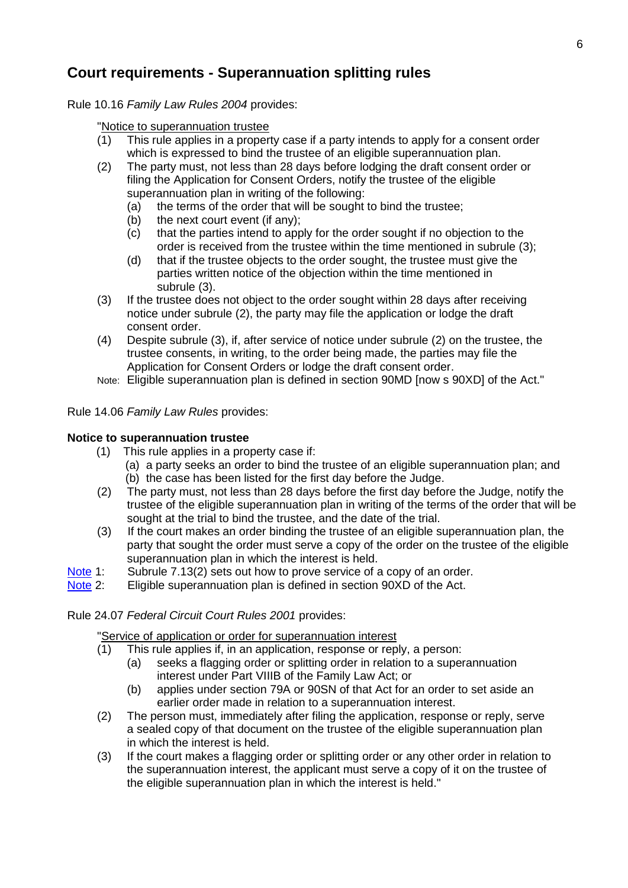## **Court requirements - Superannuation splitting rules**

Rule 10.16 *Family Law Rules 2004* provides:

"Notice to superannuation trustee

- (1) This rule applies in a property case if a party intends to apply for a consent order which is expressed to bind the trustee of an eligible superannuation plan.
- (2) The party must, not less than 28 days before lodging the draft consent order or filing the Application for Consent Orders, notify the trustee of the eligible superannuation plan in writing of the following:
	- (a) the terms of the order that will be sought to bind the trustee;
	- (b) the next court event (if any);
	- (c) that the parties intend to apply for the order sought if no objection to the order is received from the trustee within the time mentioned in subrule (3);
	- (d) that if the trustee objects to the order sought, the trustee must give the parties written notice of the objection within the time mentioned in subrule (3).
- (3) If the trustee does not object to the order sought within 28 days after receiving notice under subrule (2), the party may file the application or lodge the draft consent order.
- (4) Despite subrule (3), if, after service of notice under subrule (2) on the trustee, the trustee consents, in writing, to the order being made, the parties may file the Application for Consent Orders or lodge the draft consent order.
- Note: Eligible superannuation plan is defined in section 90MD [now s 90XD] of the Act."

#### Rule 14.06 *Family Law Rules* provides:

#### **Notice to superannuation trustee**

- (1) This rule applies in a property case if:
	- (a) a party seeks an order to bind the trustee of an eligible superannuation plan; and (b) the case has been listed for the first day before the Judge.
- (2) The party must, not less than 28 days before the first day before the Judge, notify the trustee of the eligible superannuation plan in writing of the terms of the order that will be sought at the trial to bind the trustee, and the date of the trial.
- (3) If the court makes an order binding the trustee of an eligible superannuation plan, the party that sought the order must serve a copy of the order on the trustee of the eligible superannuation plan in which the interest is held.
- [Note](http://classic.austlii.edu.au/au/legis/cth/consol_reg/flr2004163/s4.37.html#note) 1: Subrule 7.13(2) sets out how to prove service of a copy of an order.
- [Note](http://classic.austlii.edu.au/au/legis/cth/consol_reg/flr2004163/s4.37.html#note) 2: Eligible superannuation plan is defined in section 90XD of the Act.

#### Rule 24.07 *Federal Circuit Court Rules 2001* provides:

"Service of application or order for superannuation interest

- (1) This rule applies if, in an application, response or reply, a person:
	- (a) seeks a flagging order or splitting order in relation to a superannuation interest under Part VIIIB of the Family Law Act; or
		- (b) applies under section 79A or 90SN of that Act for an order to set aside an earlier order made in relation to a superannuation interest.
- (2) The person must, immediately after filing the application, response or reply, serve a sealed copy of that document on the trustee of the eligible superannuation plan in which the interest is held.
- (3) If the court makes a flagging order or splitting order or any other order in relation to the superannuation interest, the applicant must serve a copy of it on the trustee of the eligible superannuation plan in which the interest is held."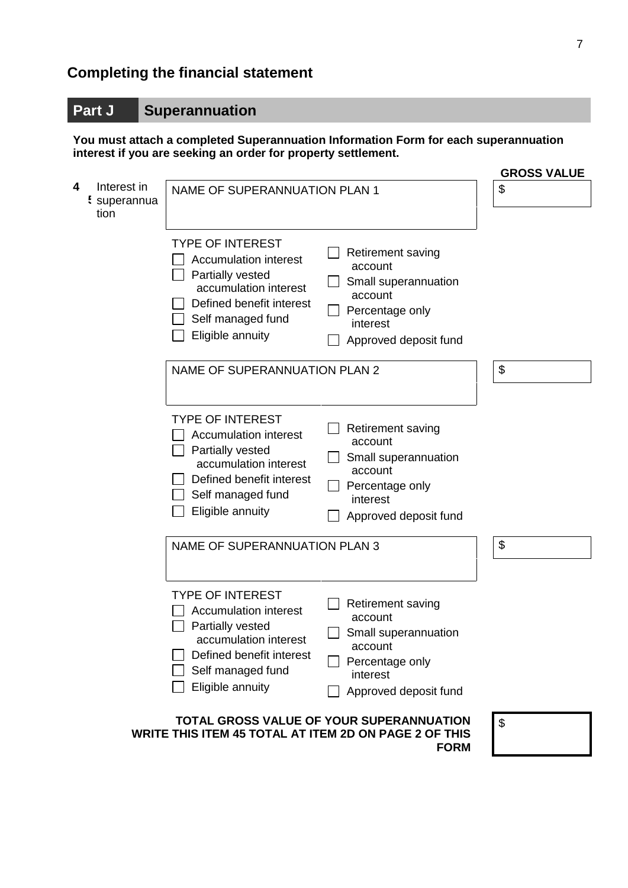# **Completing the financial statement**

## **Part J Superannuation**

**You must attach a completed Superannuation Information Form for each superannuation interest if you are seeking an order for property settlement.**

|                                          |                                                                                                                                                                                                                                                                                                             | <b>GROSS VALUE</b> |
|------------------------------------------|-------------------------------------------------------------------------------------------------------------------------------------------------------------------------------------------------------------------------------------------------------------------------------------------------------------|--------------------|
| 4<br>Interest in<br>: superannua<br>tion | NAME OF SUPERANNUATION PLAN 1                                                                                                                                                                                                                                                                               | \$                 |
|                                          | <b>TYPE OF INTEREST</b><br>Retirement saving<br><b>Accumulation interest</b><br>account<br>Partially vested<br>Small superannuation<br>accumulation interest<br>account<br>Defined benefit interest<br>Percentage only<br>Self managed fund<br>interest<br>Eligible annuity<br>Approved deposit fund        |                    |
|                                          | NAME OF SUPERANNUATION PLAN 2                                                                                                                                                                                                                                                                               | \$                 |
|                                          | <b>TYPE OF INTEREST</b><br><b>Retirement saving</b><br><b>Accumulation interest</b><br>account<br>Partially vested<br>Small superannuation<br>accumulation interest<br>account<br>Defined benefit interest<br>Percentage only<br>Self managed fund<br>interest<br>Eligible annuity<br>Approved deposit fund |                    |
|                                          | <b>NAME OF SUPERANNUATION PLAN 3</b>                                                                                                                                                                                                                                                                        | \$                 |
|                                          | <b>TYPE OF INTEREST</b><br>Retirement saving<br><b>Accumulation interest</b><br>account<br>Partially vested<br>Small superannuation<br>accumulation interest<br>account<br>Defined benefit interest<br>Percentage only<br>Self managed fund<br>interest<br>Eligible annuity<br>Approved deposit fund        |                    |
|                                          | TOTAL GROSS VALUE OF YOUR SUPERANNUATION<br>WRITE THIS ITEM 45 TOTAL AT ITEM 2D ON PAGE 2 OF THIS<br><b>FORM</b>                                                                                                                                                                                            | \$                 |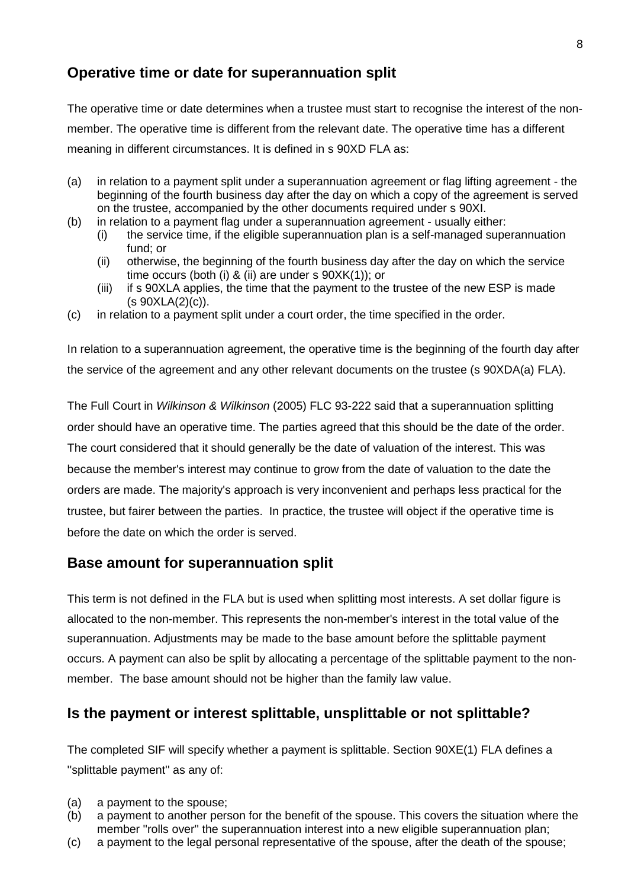## **Operative time or date for superannuation split**

The operative time or date determines when a trustee must start to recognise the interest of the nonmember. The operative time is different from the relevant date. The operative time has a different meaning in different circumstances. It is defined in s 90XD FLA as:

- (a) in relation to a payment split under a superannuation agreement or flag lifting agreement the beginning of the fourth business day after the day on which a copy of the agreement is served on the trustee, accompanied by the other documents required under s 90XI.
- (b) in relation to a payment flag under a superannuation agreement usually either:
	- (i) the service time, if the eligible superannuation plan is a self-managed superannuation fund; or
	- (ii) otherwise, the beginning of the fourth business day after the day on which the service time occurs (both (i) & (ii) are under s 90XK(1)); or
	- (iii) if s 90XLA applies, the time that the payment to the trustee of the new ESP is made  $(s$  90XLA $(2)(c)$ ).
- (c) in relation to a payment split under a court order, the time specified in the order.

In relation to a superannuation agreement, the operative time is the beginning of the fourth day after the service of the agreement and any other relevant documents on the trustee (s 90XDA(a) FLA).

The Full Court in *Wilkinson & Wilkinson* (2005) FLC 93-222 said that a superannuation splitting order should have an operative time. The parties agreed that this should be the date of the order. The court considered that it should generally be the date of valuation of the interest. This was because the member's interest may continue to grow from the date of valuation to the date the orders are made. The majority's approach is very inconvenient and perhaps less practical for the trustee, but fairer between the parties. In practice, the trustee will object if the operative time is before the date on which the order is served.

### **Base amount for superannuation split**

This term is not defined in the FLA but is used when splitting most interests. A set dollar figure is allocated to the non-member. This represents the non-member's interest in the total value of the superannuation. Adjustments may be made to the base amount before the splittable payment occurs. A payment can also be split by allocating a percentage of the splittable payment to the nonmember. The base amount should not be higher than the family law value.

## **Is the payment or interest splittable, unsplittable or not splittable?**

The completed SIF will specify whether a payment is splittable. Section 90XE(1) FLA defines a ''splittable payment'' as any of:

- (a) a payment to the spouse;
- (b) a payment to another person for the benefit of the spouse. This covers the situation where the member ''rolls over'' the superannuation interest into a new eligible superannuation plan;
- (c) a payment to the legal personal representative of the spouse, after the death of the spouse;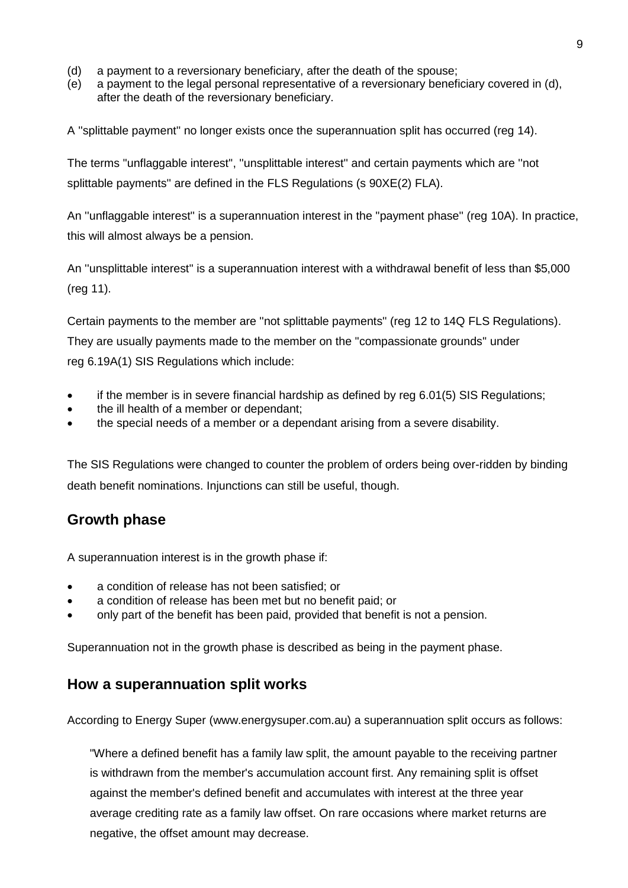- (d) a payment to a reversionary beneficiary, after the death of the spouse;
- (e) a payment to the legal personal representative of a reversionary beneficiary covered in (d), after the death of the reversionary beneficiary.

A ''splittable payment'' no longer exists once the superannuation split has occurred (reg 14).

The terms ''unflaggable interest'', ''unsplittable interest'' and certain payments which are ''not splittable payments'' are defined in the FLS Regulations (s 90XE(2) FLA).

An ''unflaggable interest'' is a superannuation interest in the ''payment phase'' (reg 10A). In practice, this will almost always be a pension.

An ''unsplittable interest'' is a superannuation interest with a withdrawal benefit of less than \$5,000 (reg 11).

Certain payments to the member are ''not splittable payments'' (reg 12 to 14Q FLS Regulations).

They are usually payments made to the member on the ''compassionate grounds'' under reg 6.19A(1) SIS Regulations which include:

- if the member is in severe financial hardship as defined by reg 6.01(5) SIS Regulations;
- the ill health of a member or dependant;
- the special needs of a member or a dependant arising from a severe disability.

The SIS Regulations were changed to counter the problem of orders being over-ridden by binding death benefit nominations. Injunctions can still be useful, though.

### **Growth phase**

A superannuation interest is in the growth phase if:

- a condition of release has not been satisfied; or
- a condition of release has been met but no benefit paid; or
- only part of the benefit has been paid, provided that benefit is not a pension.

Superannuation not in the growth phase is described as being in the payment phase.

### **How a superannuation split works**

According to Energy Super (www.energysuper.com.au) a superannuation split occurs as follows:

"Where a defined benefit has a family law split, the amount payable to the receiving partner is withdrawn from the member's accumulation account first. Any remaining split is offset against the member's defined benefit and accumulates with interest at the three year average crediting rate as a family law offset. On rare occasions where market returns are negative, the offset amount may decrease.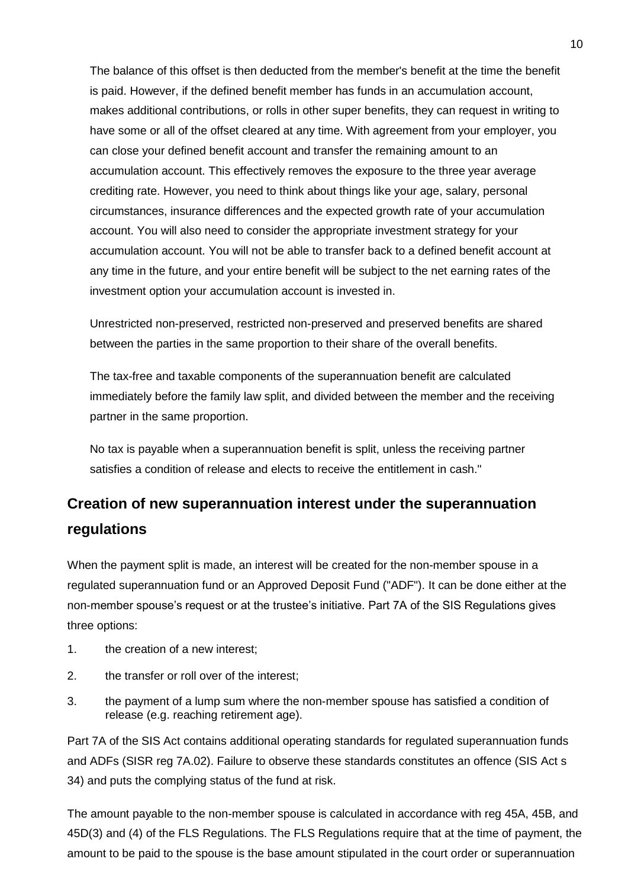The balance of this offset is then deducted from the member's benefit at the time the benefit is paid. However, if the defined benefit member has funds in an accumulation account, makes additional contributions, or rolls in other super benefits, they can request in writing to have some or all of the offset cleared at any time. With agreement from your employer, you can close your defined benefit account and transfer the remaining amount to an accumulation account. This effectively removes the exposure to the three year average crediting rate. However, you need to think about things like your age, salary, personal circumstances, insurance differences and the expected growth rate of your accumulation account. You will also need to consider the appropriate investment strategy for your accumulation account. You will not be able to transfer back to a defined benefit account at any time in the future, and your entire benefit will be subject to the net earning rates of the investment option your accumulation account is invested in.

Unrestricted non-preserved, restricted non-preserved and preserved benefits are shared between the parties in the same proportion to their share of the overall benefits.

The tax-free and taxable components of the superannuation benefit are calculated immediately before the family law split, and divided between the member and the receiving partner in the same proportion.

No tax is payable when a superannuation benefit is split, unless the receiving partner satisfies a condition of release and elects to receive the entitlement in cash."

# **Creation of new superannuation interest under the superannuation regulations**

When the payment split is made, an interest will be created for the non-member spouse in a regulated superannuation fund or an Approved Deposit Fund ("ADF"). It can be done either at the non-member spouse's request or at the trustee's initiative. Part 7A of the SIS Regulations gives three options:

- 1. the creation of a new interest;
- 2. the transfer or roll over of the interest;
- 3. the payment of a lump sum where the non-member spouse has satisfied a condition of release (e.g. reaching retirement age).

Part 7A of the SIS Act contains additional operating standards for regulated superannuation funds and ADFs (SISR reg 7A.02). Failure to observe these standards constitutes an offence (SIS Act s 34) and puts the complying status of the fund at risk.

The amount payable to the non-member spouse is calculated in accordance with reg 45A, 45B, and 45D(3) and (4) of the FLS Regulations. The FLS Regulations require that at the time of payment, the amount to be paid to the spouse is the base amount stipulated in the court order or superannuation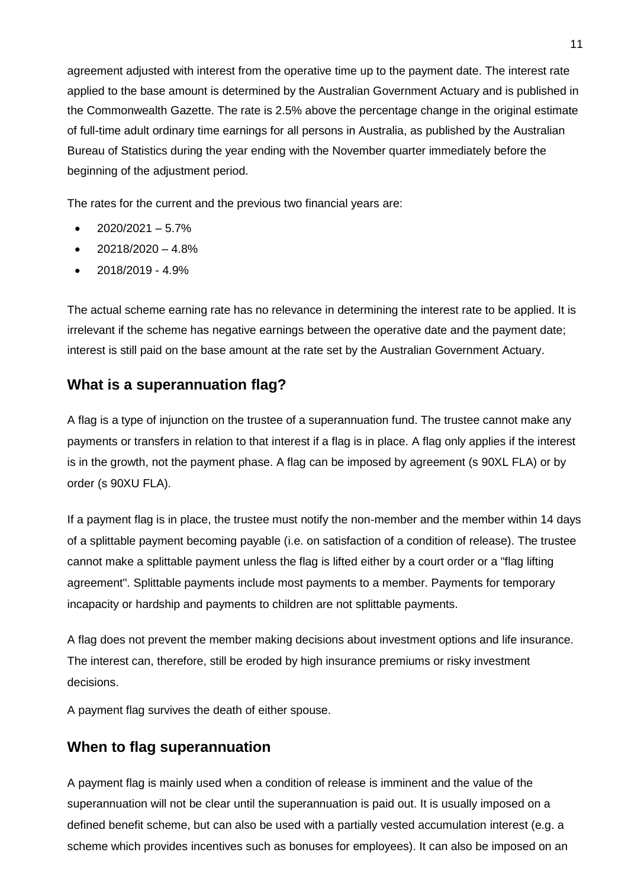agreement adjusted with interest from the operative time up to the payment date. The interest rate applied to the base amount is determined by the Australian Government Actuary and is published in the Commonwealth Gazette. The rate is 2.5% above the percentage change in the original estimate of full-time adult ordinary time earnings for all persons in Australia, as published by the Australian Bureau of Statistics during the year ending with the November quarter immediately before the beginning of the adjustment period.

The rates for the current and the previous two financial years are:

- 2020/2021 5.7%
- $\bullet$  20218/2020 4.8%
- $\bullet$  2018/2019 4.9%

The actual scheme earning rate has no relevance in determining the interest rate to be applied. It is irrelevant if the scheme has negative earnings between the operative date and the payment date; interest is still paid on the base amount at the rate set by the Australian Government Actuary.

### **What is a superannuation flag?**

A flag is a type of injunction on the trustee of a superannuation fund. The trustee cannot make any payments or transfers in relation to that interest if a flag is in place. A flag only applies if the interest is in the growth, not the payment phase. A flag can be imposed by agreement (s 90XL FLA) or by order (s 90XU FLA).

If a payment flag is in place, the trustee must notify the non-member and the member within 14 days of a splittable payment becoming payable (i.e. on satisfaction of a condition of release). The trustee cannot make a splittable payment unless the flag is lifted either by a court order or a "flag lifting agreement". Splittable payments include most payments to a member. Payments for temporary incapacity or hardship and payments to children are not splittable payments.

A flag does not prevent the member making decisions about investment options and life insurance. The interest can, therefore, still be eroded by high insurance premiums or risky investment decisions.

A payment flag survives the death of either spouse.

### **When to flag superannuation**

A payment flag is mainly used when a condition of release is imminent and the value of the superannuation will not be clear until the superannuation is paid out. It is usually imposed on a defined benefit scheme, but can also be used with a partially vested accumulation interest (e.g. a scheme which provides incentives such as bonuses for employees). It can also be imposed on an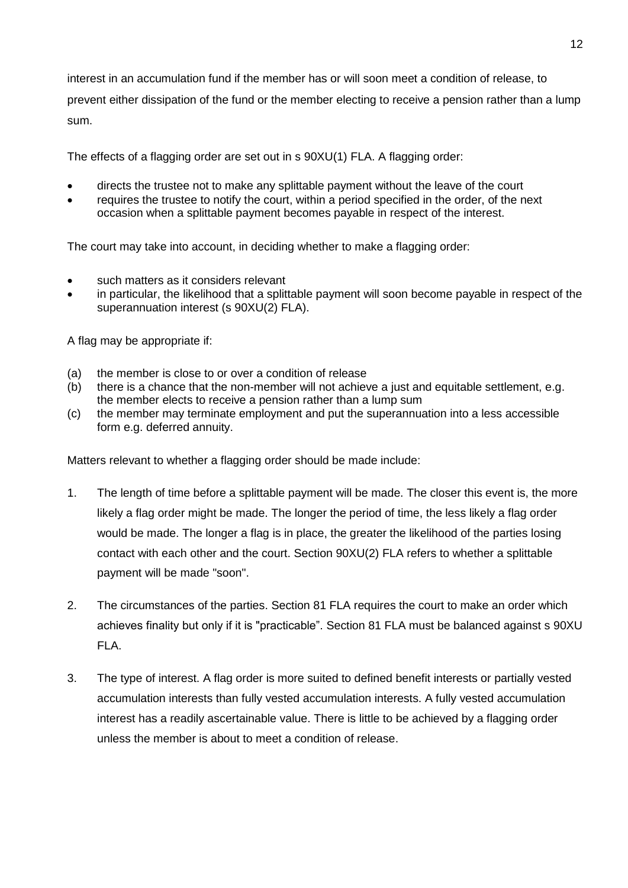interest in an accumulation fund if the member has or will soon meet a condition of release, to

prevent either dissipation of the fund or the member electing to receive a pension rather than a lump sum.

The effects of a flagging order are set out in s 90XU(1) FLA. A flagging order:

- directs the trustee not to make any splittable payment without the leave of the court
- requires the trustee to notify the court, within a period specified in the order, of the next occasion when a splittable payment becomes payable in respect of the interest.

The court may take into account, in deciding whether to make a flagging order:

- such matters as it considers relevant
- in particular, the likelihood that a splittable payment will soon become payable in respect of the superannuation interest (s 90XU(2) FLA).

A flag may be appropriate if:

- (a) the member is close to or over a condition of release
- $\overline{b}$  there is a chance that the non-member will not achieve a just and equitable settlement, e.g. the member elects to receive a pension rather than a lump sum
- (c) the member may terminate employment and put the superannuation into a less accessible form e.g. deferred annuity.

Matters relevant to whether a flagging order should be made include:

- 1. The length of time before a splittable payment will be made. The closer this event is, the more likely a flag order might be made. The longer the period of time, the less likely a flag order would be made. The longer a flag is in place, the greater the likelihood of the parties losing contact with each other and the court. Section 90XU(2) FLA refers to whether a splittable payment will be made "soon".
- 2. The circumstances of the parties. Section 81 FLA requires the court to make an order which achieves finality but only if it is "practicable". Section 81 FLA must be balanced against s 90XU FLA.
- 3. The type of interest. A flag order is more suited to defined benefit interests or partially vested accumulation interests than fully vested accumulation interests. A fully vested accumulation interest has a readily ascertainable value. There is little to be achieved by a flagging order unless the member is about to meet a condition of release.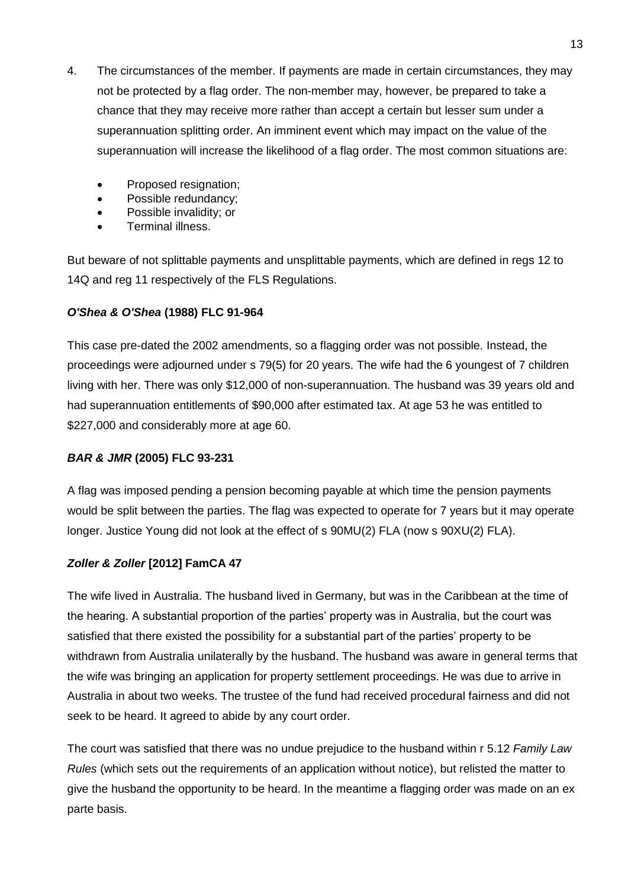- 4. The circumstances of the member. If payments are made in certain circumstances, they may not be protected by a flag order. The non-member may, however, be prepared to take a chance that they may receive more rather than accept a certain but lesser sum under a superannuation splitting order. An imminent event which may impact on the value of the superannuation will increase the likelihood of a flag order. The most common situations are:
	- Proposed resignation;
	- Possible redundancy;
	- Possible invalidity; or
	- Terminal illness.

But beware of not splittable payments and unsplittable payments, which are defined in regs 12 to 14Q and reg 11 respectively of the FLS Regulations.

#### *O'Shea & O'Shea* **(1988) FLC 91-964**

This case pre-dated the 2002 amendments, so a flagging order was not possible. Instead, the proceedings were adjourned under s 79(5) for 20 years. The wife had the 6 youngest of 7 children living with her. There was only \$12,000 of non-superannuation. The husband was 39 years old and had superannuation entitlements of \$90,000 after estimated tax. At age 53 he was entitled to \$227,000 and considerably more at age 60.

#### *BAR & JMR* **(2005) FLC 93-231**

A flag was imposed pending a pension becoming payable at which time the pension payments would be split between the parties. The flag was expected to operate for 7 years but it may operate longer. Justice Young did not look at the effect of s 90MU(2) FLA (now s 90XU(2) FLA).

#### *Zoller & Zoller* **[2012] FamCA 47**

The wife lived in Australia. The husband lived in Germany, but was in the Caribbean at the time of the hearing. A substantial proportion of the parties' property was in Australia, but the court was satisfied that there existed the possibility for a substantial part of the parties' property to be withdrawn from Australia unilaterally by the husband. The husband was aware in general terms that the wife was bringing an application for property settlement proceedings. He was due to arrive in Australia in about two weeks. The trustee of the fund had received procedural fairness and did not seek to be heard. It agreed to abide by any court order.

The court was satisfied that there was no undue prejudice to the husband within r 5.12 *Family Law Rules* (which sets out the requirements of an application without notice), but relisted the matter to give the husband the opportunity to be heard. In the meantime a flagging order was made on an ex parte basis.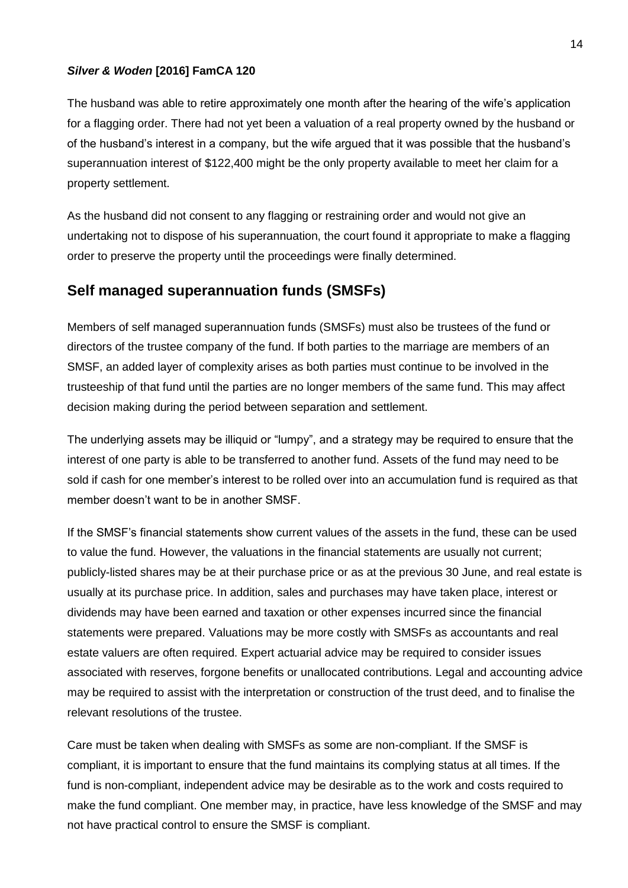#### *Silver & Woden* **[2016] FamCA 120**

The husband was able to retire approximately one month after the hearing of the wife's application for a flagging order. There had not yet been a valuation of a real property owned by the husband or of the husband's interest in a company, but the wife argued that it was possible that the husband's superannuation interest of \$122,400 might be the only property available to meet her claim for a property settlement.

As the husband did not consent to any flagging or restraining order and would not give an undertaking not to dispose of his superannuation, the court found it appropriate to make a flagging order to preserve the property until the proceedings were finally determined.

### **Self managed superannuation funds (SMSFs)**

Members of self managed superannuation funds (SMSFs) must also be trustees of the fund or directors of the trustee company of the fund. If both parties to the marriage are members of an SMSF, an added layer of complexity arises as both parties must continue to be involved in the trusteeship of that fund until the parties are no longer members of the same fund. This may affect decision making during the period between separation and settlement.

The underlying assets may be illiquid or "lumpy", and a strategy may be required to ensure that the interest of one party is able to be transferred to another fund. Assets of the fund may need to be sold if cash for one member's interest to be rolled over into an accumulation fund is required as that member doesn't want to be in another SMSF.

If the SMSF's financial statements show current values of the assets in the fund, these can be used to value the fund. However, the valuations in the financial statements are usually not current; publicly-listed shares may be at their purchase price or as at the previous 30 June, and real estate is usually at its purchase price. In addition, sales and purchases may have taken place, interest or dividends may have been earned and taxation or other expenses incurred since the financial statements were prepared. Valuations may be more costly with SMSFs as accountants and real estate valuers are often required. Expert actuarial advice may be required to consider issues associated with reserves, forgone benefits or unallocated contributions. Legal and accounting advice may be required to assist with the interpretation or construction of the trust deed, and to finalise the relevant resolutions of the trustee.

Care must be taken when dealing with SMSFs as some are non-compliant. If the SMSF is compliant, it is important to ensure that the fund maintains its complying status at all times. If the fund is non-compliant, independent advice may be desirable as to the work and costs required to make the fund compliant. One member may, in practice, have less knowledge of the SMSF and may not have practical control to ensure the SMSF is compliant.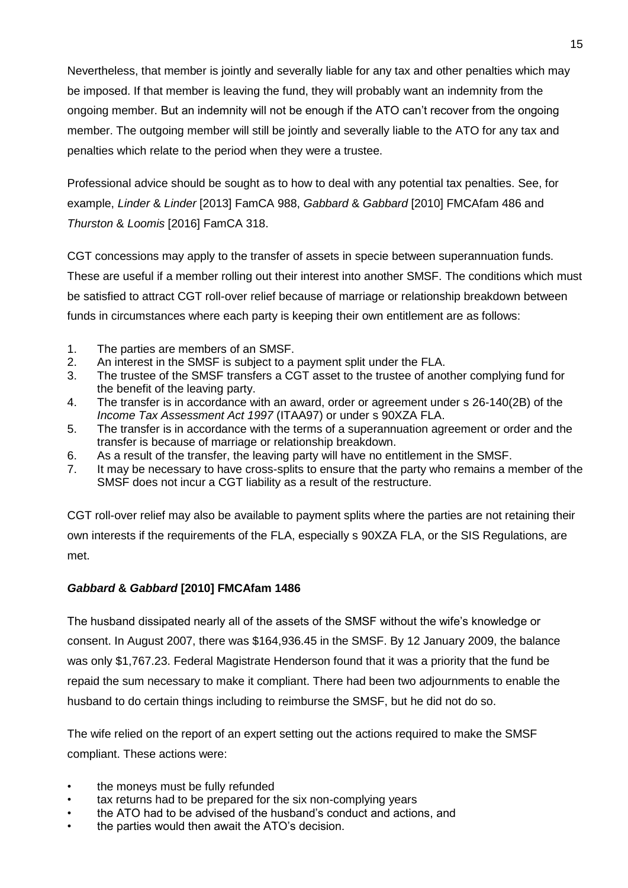Nevertheless, that member is jointly and severally liable for any tax and other penalties which may be imposed. If that member is leaving the fund, they will probably want an indemnity from the ongoing member. But an indemnity will not be enough if the ATO can't recover from the ongoing member. The outgoing member will still be jointly and severally liable to the ATO for any tax and penalties which relate to the period when they were a trustee.

Professional advice should be sought as to how to deal with any potential tax penalties. See, for example, *Linder* & *Linder* [2013] FamCA 988, *Gabbard* & *Gabbard* [2010] FMCAfam 486 and *Thurston* & *Loomis* [2016] FamCA 318.

CGT concessions may apply to the transfer of assets in specie between superannuation funds. These are useful if a member rolling out their interest into another SMSF. The conditions which must be satisfied to attract CGT roll-over relief because of marriage or relationship breakdown between funds in circumstances where each party is keeping their own entitlement are as follows:

- 1. The parties are members of an SMSF.
- 2. An interest in the SMSF is subject to a payment split under the FLA.
- 3. The trustee of the SMSF transfers a CGT asset to the trustee of another complying fund for the benefit of the leaving party.
- 4. The transfer is in accordance with an award, order or agreement under s 26-140(2B) of the *Income Tax Assessment Act 1997* (ITAA97) or under s 90XZA FLA.
- 5. The transfer is in accordance with the terms of a superannuation agreement or order and the transfer is because of marriage or relationship breakdown.
- 6. As a result of the transfer, the leaving party will have no entitlement in the SMSF.
- 7. It may be necessary to have cross-splits to ensure that the party who remains a member of the SMSF does not incur a CGT liability as a result of the restructure.

CGT roll-over relief may also be available to payment splits where the parties are not retaining their own interests if the requirements of the FLA, especially s 90XZA FLA, or the SIS Regulations, are met.

#### *Gabbard* **&** *Gabbard* **[2010] FMCAfam 1486**

The husband dissipated nearly all of the assets of the SMSF without the wife's knowledge or consent. In August 2007, there was \$164,936.45 in the SMSF. By 12 January 2009, the balance was only \$1,767.23. Federal Magistrate Henderson found that it was a priority that the fund be repaid the sum necessary to make it compliant. There had been two adjournments to enable the husband to do certain things including to reimburse the SMSF, but he did not do so.

The wife relied on the report of an expert setting out the actions required to make the SMSF compliant. These actions were:

- the moneys must be fully refunded
- tax returns had to be prepared for the six non-complying years
- the ATO had to be advised of the husband's conduct and actions, and
- the parties would then await the ATO's decision.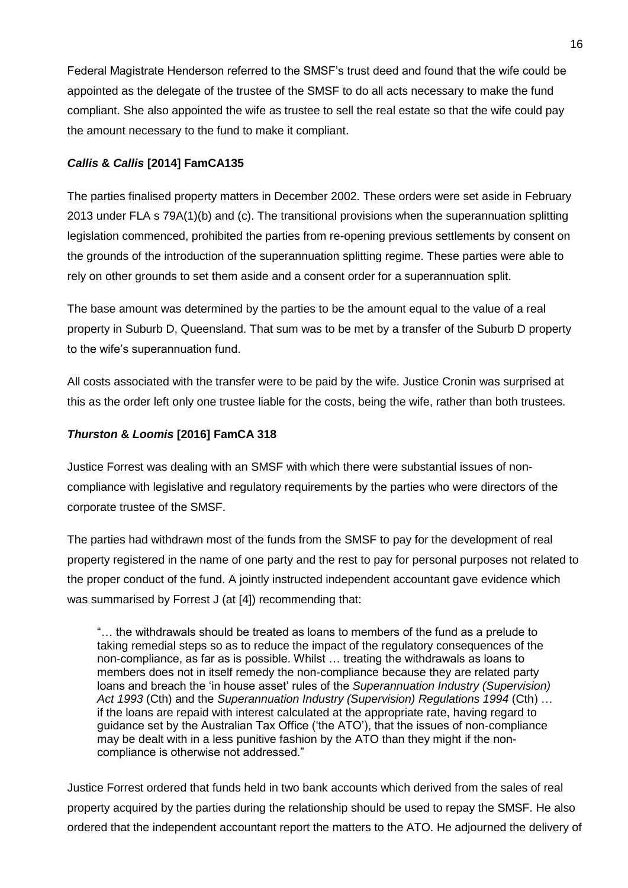Federal Magistrate Henderson referred to the SMSF's trust deed and found that the wife could be appointed as the delegate of the trustee of the SMSF to do all acts necessary to make the fund compliant. She also appointed the wife as trustee to sell the real estate so that the wife could pay the amount necessary to the fund to make it compliant.

#### *Callis* **&** *Callis* **[2014] FamCA135**

The parties finalised property matters in December 2002. These orders were set aside in February 2013 under FLA s 79A(1)(b) and (c). The transitional provisions when the superannuation splitting legislation commenced, prohibited the parties from re-opening previous settlements by consent on the grounds of the introduction of the superannuation splitting regime. These parties were able to rely on other grounds to set them aside and a consent order for a superannuation split.

The base amount was determined by the parties to be the amount equal to the value of a real property in Suburb D, Queensland. That sum was to be met by a transfer of the Suburb D property to the wife's superannuation fund.

All costs associated with the transfer were to be paid by the wife. Justice Cronin was surprised at this as the order left only one trustee liable for the costs, being the wife, rather than both trustees.

#### *Thurston* **&** *Loomis* **[2016] FamCA 318**

Justice Forrest was dealing with an SMSF with which there were substantial issues of noncompliance with legislative and regulatory requirements by the parties who were directors of the corporate trustee of the SMSF.

The parties had withdrawn most of the funds from the SMSF to pay for the development of real property registered in the name of one party and the rest to pay for personal purposes not related to the proper conduct of the fund. A jointly instructed independent accountant gave evidence which was summarised by Forrest J (at [4]) recommending that:

"… the withdrawals should be treated as loans to members of the fund as a prelude to taking remedial steps so as to reduce the impact of the regulatory consequences of the non-compliance, as far as is possible. Whilst … treating the withdrawals as loans to members does not in itself remedy the non-compliance because they are related party loans and breach the 'in house asset' rules of the *Superannuation Industry (Supervision) Act 1993* (Cth) and the *Superannuation Industry (Supervision) Regulations 1994* (Cth) … if the loans are repaid with interest calculated at the appropriate rate, having regard to guidance set by the Australian Tax Office ('the ATO'), that the issues of non-compliance may be dealt with in a less punitive fashion by the ATO than they might if the noncompliance is otherwise not addressed."

Justice Forrest ordered that funds held in two bank accounts which derived from the sales of real property acquired by the parties during the relationship should be used to repay the SMSF. He also ordered that the independent accountant report the matters to the ATO. He adjourned the delivery of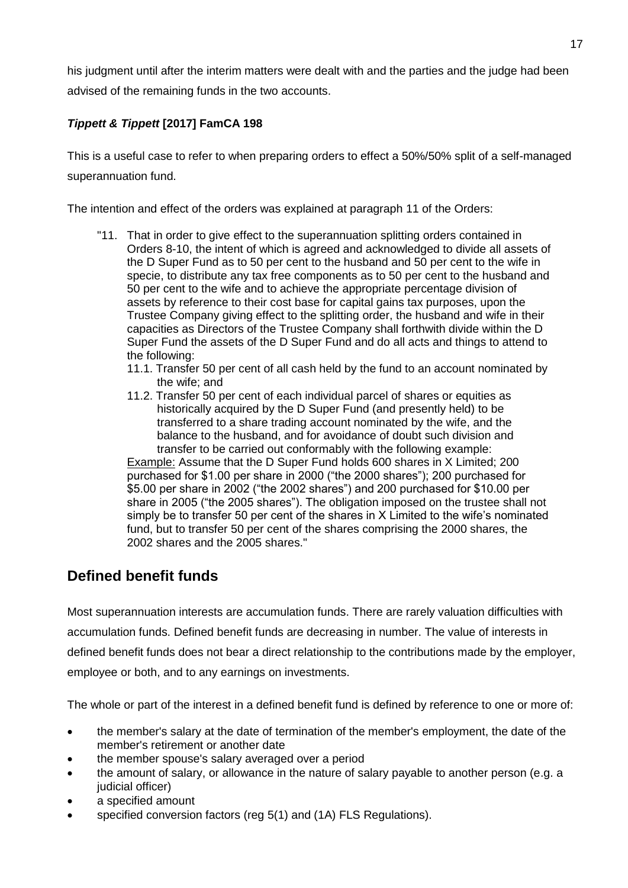his judgment until after the interim matters were dealt with and the parties and the judge had been advised of the remaining funds in the two accounts.

### *Tippett & Tippett* **[2017] FamCA 198**

This is a useful case to refer to when preparing orders to effect a 50%/50% split of a self-managed superannuation fund.

The intention and effect of the orders was explained at paragraph 11 of the Orders:

- "11. That in order to give effect to the superannuation splitting orders contained in Orders 8-10, the intent of which is agreed and acknowledged to divide all assets of the D Super Fund as to 50 per cent to the husband and 50 per cent to the wife in specie, to distribute any tax free components as to 50 per cent to the husband and 50 per cent to the wife and to achieve the appropriate percentage division of assets by reference to their cost base for capital gains tax purposes, upon the Trustee Company giving effect to the splitting order, the husband and wife in their capacities as Directors of the Trustee Company shall forthwith divide within the D Super Fund the assets of the D Super Fund and do all acts and things to attend to the following:
	- 11.1. Transfer 50 per cent of all cash held by the fund to an account nominated by the wife; and
	- 11.2. Transfer 50 per cent of each individual parcel of shares or equities as historically acquired by the D Super Fund (and presently held) to be transferred to a share trading account nominated by the wife, and the balance to the husband, and for avoidance of doubt such division and transfer to be carried out conformably with the following example:

Example: Assume that the D Super Fund holds 600 shares in X Limited; 200 purchased for \$1.00 per share in 2000 ("the 2000 shares"); 200 purchased for \$5.00 per share in 2002 ("the 2002 shares") and 200 purchased for \$10.00 per share in 2005 ("the 2005 shares"). The obligation imposed on the trustee shall not simply be to transfer 50 per cent of the shares in X Limited to the wife's nominated fund, but to transfer 50 per cent of the shares comprising the 2000 shares, the 2002 shares and the 2005 shares."

## **Defined benefit funds**

Most superannuation interests are accumulation funds. There are rarely valuation difficulties with accumulation funds. Defined benefit funds are decreasing in number. The value of interests in defined benefit funds does not bear a direct relationship to the contributions made by the employer, employee or both, and to any earnings on investments.

The whole or part of the interest in a defined benefit fund is defined by reference to one or more of:

- the member's salary at the date of termination of the member's employment, the date of the member's retirement or another date
- the member spouse's salary averaged over a period
- the amount of salary, or allowance in the nature of salary payable to another person (e.g. a judicial officer)
- a specified amount
- specified conversion factors (reg 5(1) and (1A) FLS Regulations).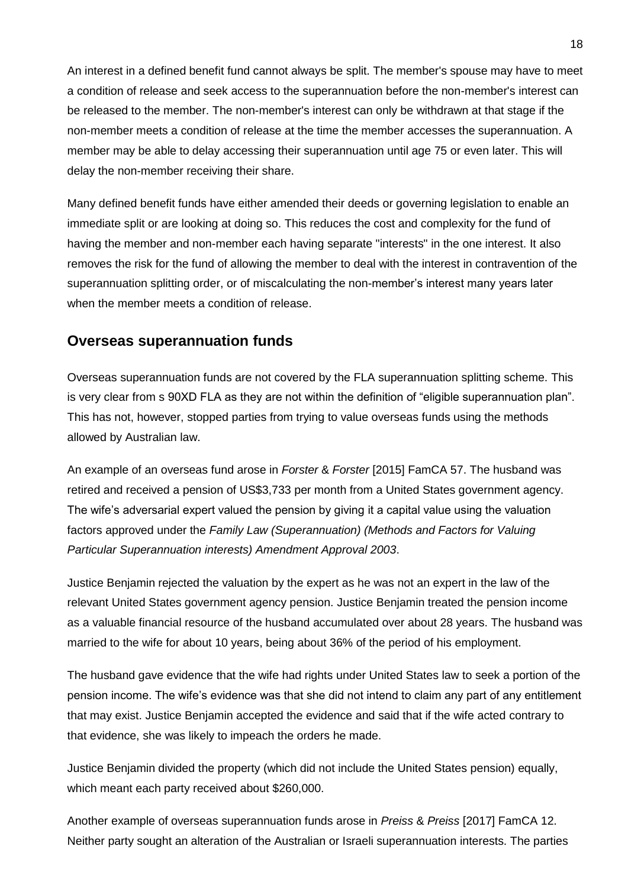An interest in a defined benefit fund cannot always be split. The member's spouse may have to meet a condition of release and seek access to the superannuation before the non-member's interest can be released to the member. The non-member's interest can only be withdrawn at that stage if the non-member meets a condition of release at the time the member accesses the superannuation. A member may be able to delay accessing their superannuation until age 75 or even later. This will delay the non-member receiving their share.

Many defined benefit funds have either amended their deeds or governing legislation to enable an immediate split or are looking at doing so. This reduces the cost and complexity for the fund of having the member and non-member each having separate "interests" in the one interest. It also removes the risk for the fund of allowing the member to deal with the interest in contravention of the superannuation splitting order, or of miscalculating the non-member's interest many years later when the member meets a condition of release.

### **Overseas superannuation funds**

Overseas superannuation funds are not covered by the FLA superannuation splitting scheme. This is very clear from s 90XD FLA as they are not within the definition of "eligible superannuation plan". This has not, however, stopped parties from trying to value overseas funds using the methods allowed by Australian law.

An example of an overseas fund arose in *Forster* & *Forster* [2015] FamCA 57. The husband was retired and received a pension of US\$3,733 per month from a United States government agency. The wife's adversarial expert valued the pension by giving it a capital value using the valuation factors approved under the *Family Law (Superannuation) (Methods and Factors for Valuing Particular Superannuation interests) Amendment Approval 2003*.

Justice Benjamin rejected the valuation by the expert as he was not an expert in the law of the relevant United States government agency pension. Justice Benjamin treated the pension income as a valuable financial resource of the husband accumulated over about 28 years. The husband was married to the wife for about 10 years, being about 36% of the period of his employment.

The husband gave evidence that the wife had rights under United States law to seek a portion of the pension income. The wife's evidence was that she did not intend to claim any part of any entitlement that may exist. Justice Benjamin accepted the evidence and said that if the wife acted contrary to that evidence, she was likely to impeach the orders he made.

Justice Benjamin divided the property (which did not include the United States pension) equally, which meant each party received about \$260,000.

Another example of overseas superannuation funds arose in *Preiss* & *Preiss* [2017] FamCA 12. Neither party sought an alteration of the Australian or Israeli superannuation interests. The parties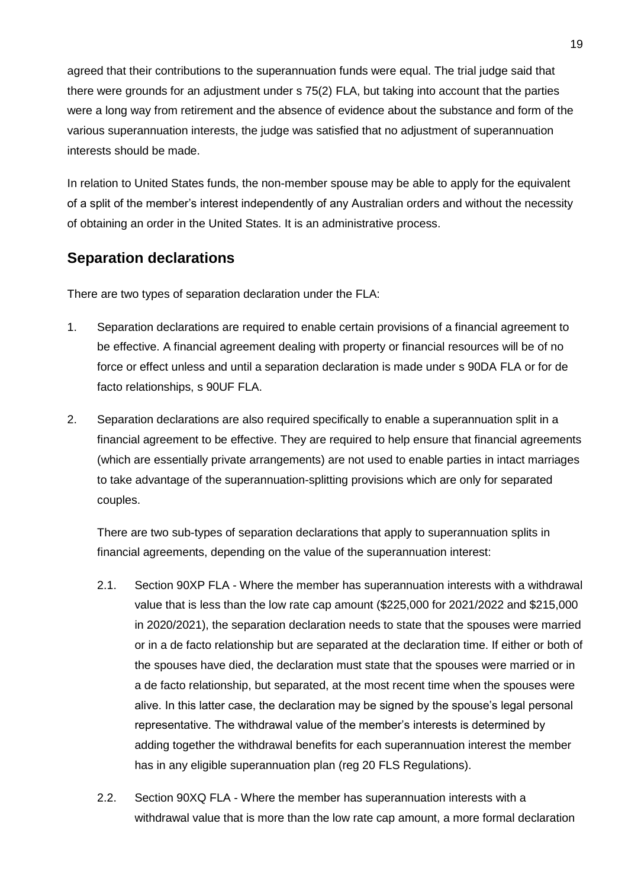agreed that their contributions to the superannuation funds were equal. The trial judge said that there were grounds for an adjustment under s 75(2) FLA, but taking into account that the parties were a long way from retirement and the absence of evidence about the substance and form of the various superannuation interests, the judge was satisfied that no adjustment of superannuation interests should be made.

In relation to United States funds, the non-member spouse may be able to apply for the equivalent of a split of the member's interest independently of any Australian orders and without the necessity of obtaining an order in the United States. It is an administrative process.

## **Separation declarations**

There are two types of separation declaration under the FLA:

- 1. Separation declarations are required to enable certain provisions of a financial agreement to be effective. A financial agreement dealing with property or financial resources will be of no force or effect unless and until a separation declaration is made under s 90DA FLA or for de facto relationships, s 90UF FLA.
- 2. Separation declarations are also required specifically to enable a superannuation split in a financial agreement to be effective. They are required to help ensure that financial agreements (which are essentially private arrangements) are not used to enable parties in intact marriages to take advantage of the superannuation-splitting provisions which are only for separated couples.

There are two sub-types of separation declarations that apply to superannuation splits in financial agreements, depending on the value of the superannuation interest:

- 2.1. Section 90XP FLA Where the member has superannuation interests with a withdrawal value that is less than the low rate cap amount (\$225,000 for 2021/2022 and \$215,000 in 2020/2021), the separation declaration needs to state that the spouses were married or in a de facto relationship but are separated at the declaration time. If either or both of the spouses have died, the declaration must state that the spouses were married or in a de facto relationship, but separated, at the most recent time when the spouses were alive. In this latter case, the declaration may be signed by the spouse's legal personal representative. The withdrawal value of the member's interests is determined by adding together the withdrawal benefits for each superannuation interest the member has in any eligible superannuation plan (reg 20 FLS Regulations).
- 2.2. Section 90XQ FLA Where the member has superannuation interests with a withdrawal value that is more than the low rate cap amount, a more formal declaration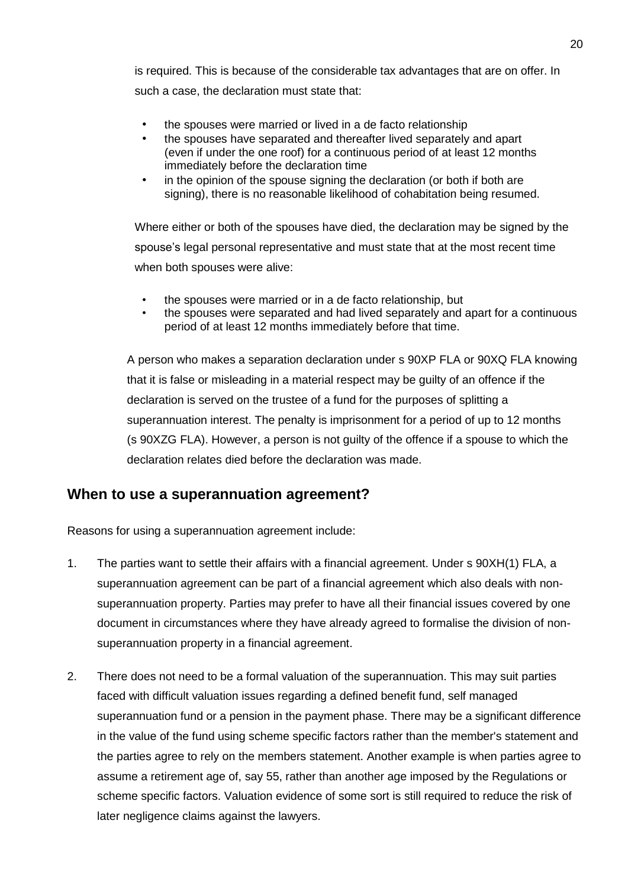is required. This is because of the considerable tax advantages that are on offer. In such a case, the declaration must state that:

- the spouses were married or lived in a de facto relationship
- the spouses have separated and thereafter lived separately and apart (even if under the one roof) for a continuous period of at least 12 months immediately before the declaration time
- in the opinion of the spouse signing the declaration (or both if both are signing), there is no reasonable likelihood of cohabitation being resumed.

Where either or both of the spouses have died, the declaration may be signed by the spouse's legal personal representative and must state that at the most recent time when both spouses were alive:

- the spouses were married or in a de facto relationship, but
- the spouses were separated and had lived separately and apart for a continuous period of at least 12 months immediately before that time.

A person who makes a separation declaration under s 90XP FLA or 90XQ FLA knowing that it is false or misleading in a material respect may be guilty of an offence if the declaration is served on the trustee of a fund for the purposes of splitting a superannuation interest. The penalty is imprisonment for a period of up to 12 months (s 90XZG FLA). However, a person is not guilty of the offence if a spouse to which the declaration relates died before the declaration was made.

## **When to use a superannuation agreement?**

Reasons for using a superannuation agreement include:

- 1. The parties want to settle their affairs with a financial agreement. Under s 90XH(1) FLA, a superannuation agreement can be part of a financial agreement which also deals with nonsuperannuation property. Parties may prefer to have all their financial issues covered by one document in circumstances where they have already agreed to formalise the division of nonsuperannuation property in a financial agreement.
- 2. There does not need to be a formal valuation of the superannuation. This may suit parties faced with difficult valuation issues regarding a defined benefit fund, self managed superannuation fund or a pension in the payment phase. There may be a significant difference in the value of the fund using scheme specific factors rather than the member's statement and the parties agree to rely on the members statement. Another example is when parties agree to assume a retirement age of, say 55, rather than another age imposed by the Regulations or scheme specific factors. Valuation evidence of some sort is still required to reduce the risk of later negligence claims against the lawyers.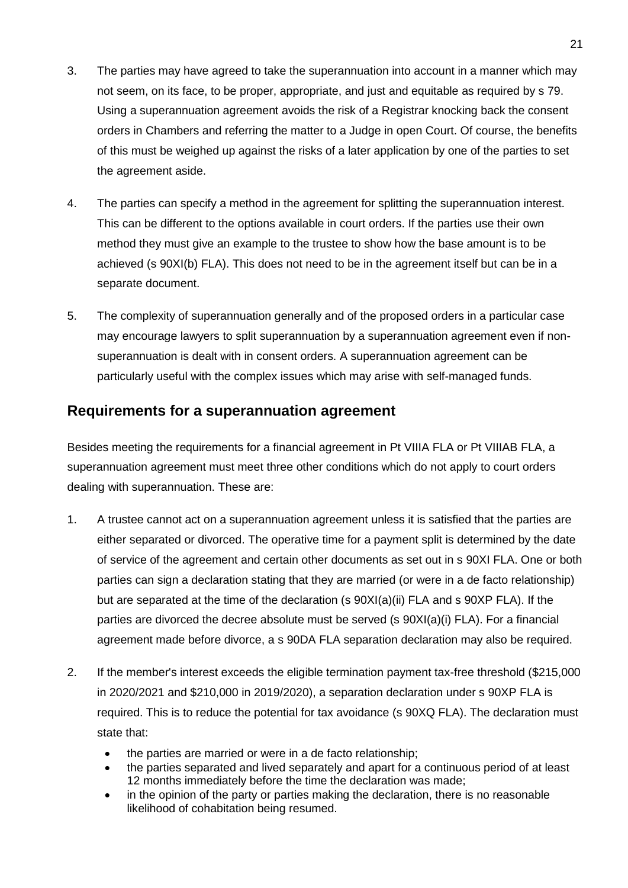- 3. The parties may have agreed to take the superannuation into account in a manner which may not seem, on its face, to be proper, appropriate, and just and equitable as required by s 79. Using a superannuation agreement avoids the risk of a Registrar knocking back the consent orders in Chambers and referring the matter to a Judge in open Court. Of course, the benefits of this must be weighed up against the risks of a later application by one of the parties to set the agreement aside.
- 4. The parties can specify a method in the agreement for splitting the superannuation interest. This can be different to the options available in court orders. If the parties use their own method they must give an example to the trustee to show how the base amount is to be achieved (s 90XI(b) FLA). This does not need to be in the agreement itself but can be in a separate document.
- 5. The complexity of superannuation generally and of the proposed orders in a particular case may encourage lawyers to split superannuation by a superannuation agreement even if nonsuperannuation is dealt with in consent orders. A superannuation agreement can be particularly useful with the complex issues which may arise with self-managed funds.

## **Requirements for a superannuation agreement**

Besides meeting the requirements for a financial agreement in Pt VIIIA FLA or Pt VIIIAB FLA, a superannuation agreement must meet three other conditions which do not apply to court orders dealing with superannuation. These are:

- 1. A trustee cannot act on a superannuation agreement unless it is satisfied that the parties are either separated or divorced. The operative time for a payment split is determined by the date of service of the agreement and certain other documents as set out in s 90XI FLA. One or both parties can sign a declaration stating that they are married (or were in a de facto relationship) but are separated at the time of the declaration (s [90XI\(a\)\(ii\) FLA](file://///ffl-az-svr01/Docs/Clients/CAM004/afchleg/@ebt-link;pf=;nh=1;cs=default;ts=default;pt=173484%3ftarget=IDMATCH(fla-s.90mp);window=specified;showtoc=true;book=afchleg;__prev_hit__=172441;__next_hit__=347990;DwebQuery=38-130) and s 90XP FLA). If the parties are divorced the decree absolute must be served (s 90XI(a)(i) FLA). For a financial agreement made before divorce, a s 90DA FLA separation declaration may also be required.
- 2. If the member's interest exceeds the eligible termination payment tax-free threshold (\$215,000 in 2020/2021 and \$210,000 in 2019/2020), a separation declaration under s 90XP FLA is required. This is to reduce the potential for tax avoidance (s 90XQ FLA). The declaration must state that:
	- the parties are married or were in a de facto relationship;
	- the parties separated and lived separately and apart for a continuous period of at least 12 months immediately before the time the declaration was made;
	- in the opinion of the party or parties making the declaration, there is no reasonable likelihood of cohabitation being resumed.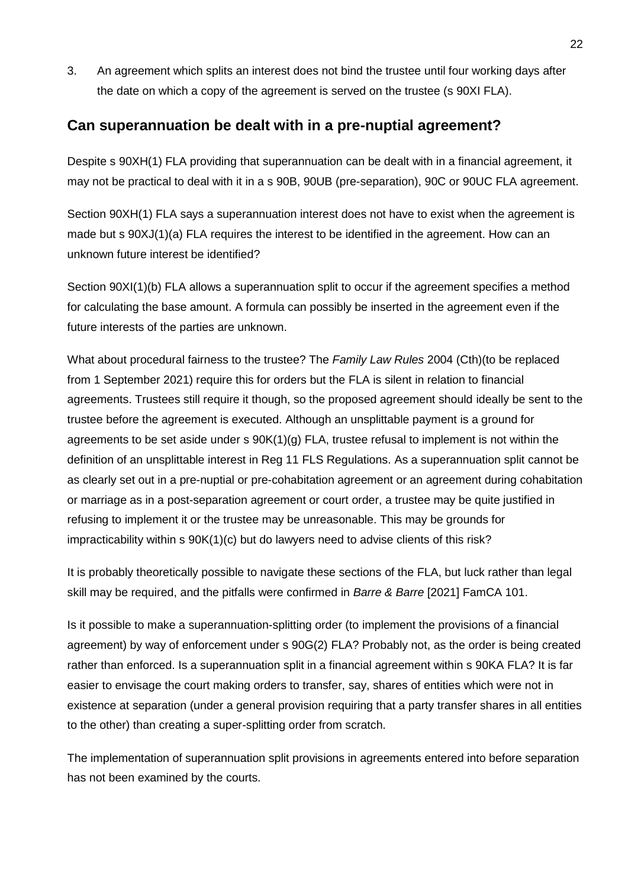3. An agreement which splits an interest does not bind the trustee until four working days after the date on which a copy of the agreement is served on the trustee (s [90XI](file://///ffl-az-svr01/Docs/Clients/CAM004/afchleg/@ebt-link;pf=;nh=1;cs=default;ts=default;pt=173484%3ftarget=IDMATCH(fla-s.90mi);window=specified;showtoc=true;book=afchleg;__prev_hit__=172441;__next_hit__=347990;DwebQuery=38-130) FLA).

### **Can superannuation be dealt with in a pre-nuptial agreement?**

Despite s 90XH(1) FLA providing that superannuation can be dealt with in a financial agreement, it may not be practical to deal with it in a s 90B, 90UB (pre-separation), 90C or 90UC FLA agreement.

Section 90XH(1) FLA says a superannuation interest does not have to exist when the agreement is made but s 90XJ(1)(a) FLA requires the interest to be identified in the agreement. How can an unknown future interest be identified?

Section 90XI(1)(b) FLA allows a superannuation split to occur if the agreement specifies a method for calculating the base amount. A formula can possibly be inserted in the agreement even if the future interests of the parties are unknown.

What about procedural fairness to the trustee? The *Family Law Rules* 2004 (Cth)(to be replaced from 1 September 2021) require this for orders but the FLA is silent in relation to financial agreements. Trustees still require it though, so the proposed agreement should ideally be sent to the trustee before the agreement is executed. Although an unsplittable payment is a ground for agreements to be set aside under s 90K(1)(g) FLA, trustee refusal to implement is not within the definition of an unsplittable interest in Reg 11 FLS Regulations. As a superannuation split cannot be as clearly set out in a pre-nuptial or pre-cohabitation agreement or an agreement during cohabitation or marriage as in a post-separation agreement or court order, a trustee may be quite justified in refusing to implement it or the trustee may be unreasonable. This may be grounds for impracticability within s 90K(1)(c) but do lawyers need to advise clients of this risk?

It is probably theoretically possible to navigate these sections of the FLA, but luck rather than legal skill may be required, and the pitfalls were confirmed in *Barre & Barre* [2021] FamCA 101.

Is it possible to make a superannuation-splitting order (to implement the provisions of a financial agreement) by way of enforcement under s 90G(2) FLA? Probably not, as the order is being created rather than enforced. Is a superannuation split in a financial agreement within s 90KA FLA? It is far easier to envisage the court making orders to transfer, say, shares of entities which were not in existence at separation (under a general provision requiring that a party transfer shares in all entities to the other) than creating a super-splitting order from scratch.

The implementation of superannuation split provisions in agreements entered into before separation has not been examined by the courts.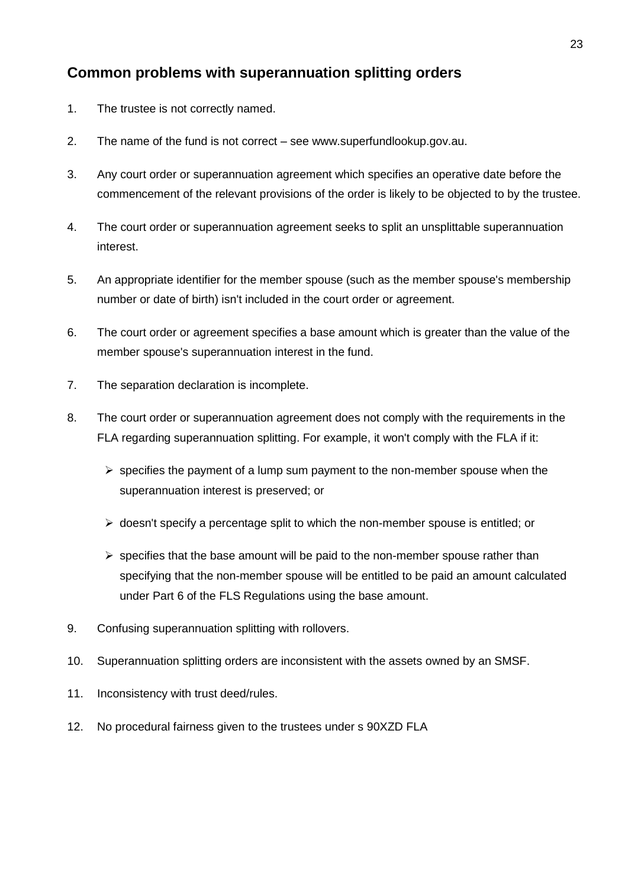## **Common problems with superannuation splitting orders**

- 1. The trustee is not correctly named.
- 2. The name of the fund is not correct see www.superfundlookup.gov.au.
- 3. Any court order or superannuation agreement which specifies an operative date before the commencement of the relevant provisions of the order is likely to be objected to by the trustee.
- 4. The court order or superannuation agreement seeks to split an unsplittable superannuation interest.
- 5. An appropriate identifier for the member spouse (such as the member spouse's membership number or date of birth) isn't included in the court order or agreement.
- 6. The court order or agreement specifies a base amount which is greater than the value of the member spouse's superannuation interest in the fund.
- 7. The separation declaration is incomplete.
- 8. The court order or superannuation agreement does not comply with the requirements in the FLA regarding superannuation splitting. For example, it won't comply with the FLA if it:
	- $\triangleright$  specifies the payment of a lump sum payment to the non-member spouse when the superannuation interest is preserved; or
	- $\triangleright$  doesn't specify a percentage split to which the non-member spouse is entitled; or
	- $\triangleright$  specifies that the base amount will be paid to the non-member spouse rather than specifying that the non-member spouse will be entitled to be paid an amount calculated under Part 6 of the FLS Regulations using the base amount.
- 9. Confusing superannuation splitting with rollovers.
- 10. Superannuation splitting orders are inconsistent with the assets owned by an SMSF.
- 11. Inconsistency with trust deed/rules.
- 12. No procedural fairness given to the trustees under s 90XZD FLA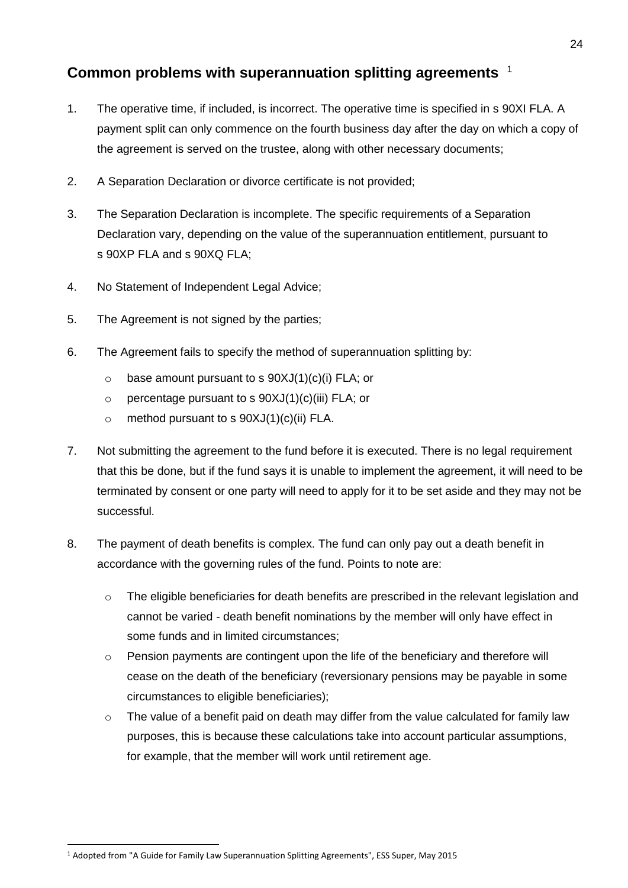## **Common problems with superannuation splitting agreements** 1

- 1. The operative time, if included, is incorrect. The operative time is specified in s 90XI FLA. A payment split can only commence on the fourth business day after the day on which a copy of the agreement is served on the trustee, along with other necessary documents;
- 2. A Separation Declaration or divorce certificate is not provided;
- 3. The Separation Declaration is incomplete. The specific requirements of a Separation Declaration vary, depending on the value of the superannuation entitlement, pursuant to s 90XP FLA and s 90XQ FLA;
- 4. No Statement of Independent Legal Advice;
- 5. The Agreement is not signed by the parties;
- 6. The Agreement fails to specify the method of superannuation splitting by:
	- $\circ$  base amount pursuant to s 90XJ(1)(c)(i) FLA; or
	- $\circ$  percentage pursuant to s 90XJ(1)(c)(iii) FLA; or
	- $\circ$  method pursuant to s 90XJ(1)(c)(ii) FLA.
- 7. Not submitting the agreement to the fund before it is executed. There is no legal requirement that this be done, but if the fund says it is unable to implement the agreement, it will need to be terminated by consent or one party will need to apply for it to be set aside and they may not be successful.
- 8. The payment of death benefits is complex. The fund can only pay out a death benefit in accordance with the governing rules of the fund. Points to note are:
	- $\circ$  The eligible beneficiaries for death benefits are prescribed in the relevant legislation and cannot be varied - death benefit nominations by the member will only have effect in some funds and in limited circumstances;
	- $\circ$  Pension payments are contingent upon the life of the beneficiary and therefore will cease on the death of the beneficiary (reversionary pensions may be payable in some circumstances to eligible beneficiaries);
	- $\circ$  The value of a benefit paid on death may differ from the value calculated for family law purposes, this is because these calculations take into account particular assumptions, for example, that the member will work until retirement age.

<sup>1</sup> Adopted from "A Guide for Family Law Superannuation Splitting Agreements", ESS Super, May 2015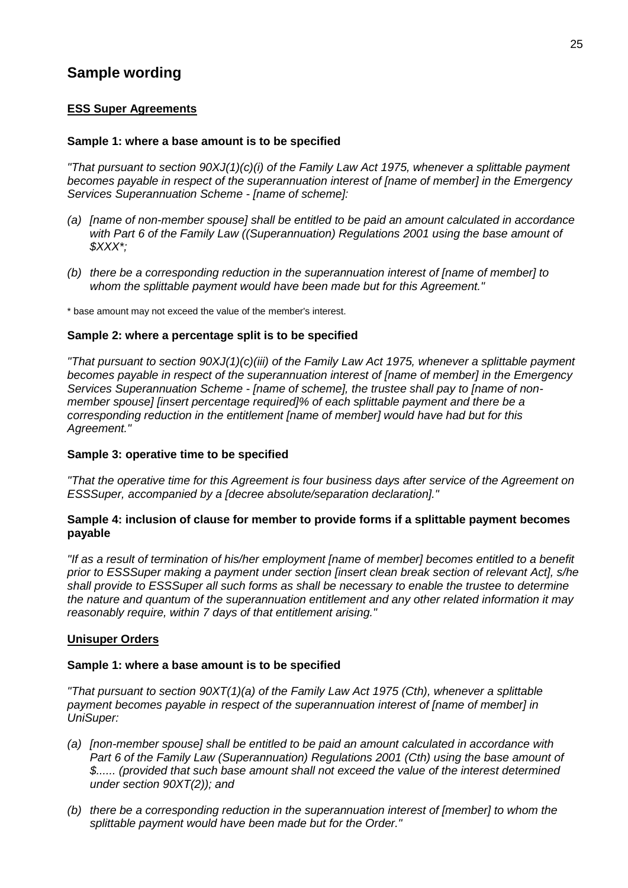## **Sample wording**

#### **ESS Super Agreements**

#### **Sample 1: where a base amount is to be specified**

*"That pursuant to section 90XJ(1)(c)(i) of the Family Law Act 1975, whenever a splittable payment becomes payable in respect of the superannuation interest of [name of member] in the Emergency Services Superannuation Scheme - [name of scheme]:*

- *(a) [name of non-member spouse] shall be entitled to be paid an amount calculated in accordance with Part 6 of the Family Law ((Superannuation) Regulations 2001 using the base amount of \$XXX\*;*
- *(b) there be a corresponding reduction in the superannuation interest of [name of member] to whom the splittable payment would have been made but for this Agreement."*

\* base amount may not exceed the value of the member's interest.

#### **Sample 2: where a percentage split is to be specified**

*"That pursuant to section 90XJ(1)(c)(iii) of the Family Law Act 1975, whenever a splittable payment becomes payable in respect of the superannuation interest of [name of member] in the Emergency Services Superannuation Scheme - [name of scheme], the trustee shall pay to [name of nonmember spouse] [insert percentage required]% of each splittable payment and there be a corresponding reduction in the entitlement [name of member] would have had but for this Agreement."*

#### **Sample 3: operative time to be specified**

*"That the operative time for this Agreement is four business days after service of the Agreement on ESSSuper, accompanied by a [decree absolute/separation declaration]."*

#### **Sample 4: inclusion of clause for member to provide forms if a splittable payment becomes payable**

*"If as a result of termination of his/her employment [name of member] becomes entitled to a benefit prior to ESSSuper making a payment under section [insert clean break section of relevant Act], s/he shall provide to ESSSuper all such forms as shall be necessary to enable the trustee to determine the nature and quantum of the superannuation entitlement and any other related information it may reasonably require, within 7 days of that entitlement arising."*

#### **Unisuper Orders**

#### **Sample 1: where a base amount is to be specified**

*"That pursuant to section 90XT(1)(a) of the Family Law Act 1975 (Cth), whenever a splittable payment becomes payable in respect of the superannuation interest of [name of member] in UniSuper:*

- *(a) [non-member spouse] shall be entitled to be paid an amount calculated in accordance with Part 6 of the Family Law (Superannuation) Regulations 2001 (Cth) using the base amount of \$...... (provided that such base amount shall not exceed the value of the interest determined under section 90XT(2)); and*
- *(b) there be a corresponding reduction in the superannuation interest of [member] to whom the splittable payment would have been made but for the Order."*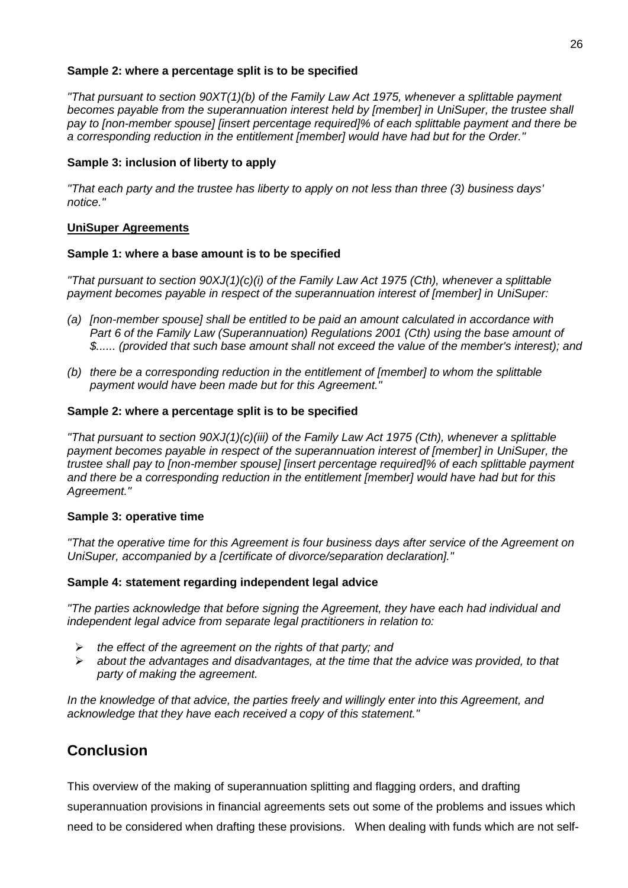#### **Sample 2: where a percentage split is to be specified**

*"That pursuant to section 90XT(1)(b) of the Family Law Act 1975, whenever a splittable payment becomes payable from the superannuation interest held by [member] in UniSuper, the trustee shall pay to [non-member spouse] [insert percentage required]% of each splittable payment and there be a corresponding reduction in the entitlement [member] would have had but for the Order."*

#### **Sample 3: inclusion of liberty to apply**

*"That each party and the trustee has liberty to apply on not less than three (3) business days' notice."*

#### **UniSuper Agreements**

#### **Sample 1: where a base amount is to be specified**

*"That pursuant to section 90XJ(1)(c)(i) of the Family Law Act 1975 (Cth), whenever a splittable payment becomes payable in respect of the superannuation interest of [member] in UniSuper:*

- *(a) [non-member spouse] shall be entitled to be paid an amount calculated in accordance with Part 6 of the Family Law (Superannuation) Regulations 2001 (Cth) using the base amount of \$...... (provided that such base amount shall not exceed the value of the member's interest); and*
- *(b) there be a corresponding reduction in the entitlement of [member] to whom the splittable payment would have been made but for this Agreement."*

#### **Sample 2: where a percentage split is to be specified**

*"That pursuant to section 90XJ(1)(c)(iii) of the Family Law Act 1975 (Cth), whenever a splittable payment becomes payable in respect of the superannuation interest of [member] in UniSuper, the trustee shall pay to [non-member spouse] [insert percentage required]% of each splittable payment and there be a corresponding reduction in the entitlement [member] would have had but for this Agreement."*

#### **Sample 3: operative time**

*"That the operative time for this Agreement is four business days after service of the Agreement on UniSuper, accompanied by a [certificate of divorce/separation declaration]."*

#### **Sample 4: statement regarding independent legal advice**

*"The parties acknowledge that before signing the Agreement, they have each had individual and independent legal advice from separate legal practitioners in relation to:*

- *the effect of the agreement on the rights of that party; and*
- *about the advantages and disadvantages, at the time that the advice was provided, to that party of making the agreement.*

*In the knowledge of that advice, the parties freely and willingly enter into this Agreement, and acknowledge that they have each received a copy of this statement."*

### **Conclusion**

This overview of the making of superannuation splitting and flagging orders, and drafting

superannuation provisions in financial agreements sets out some of the problems and issues which need to be considered when drafting these provisions. When dealing with funds which are not self